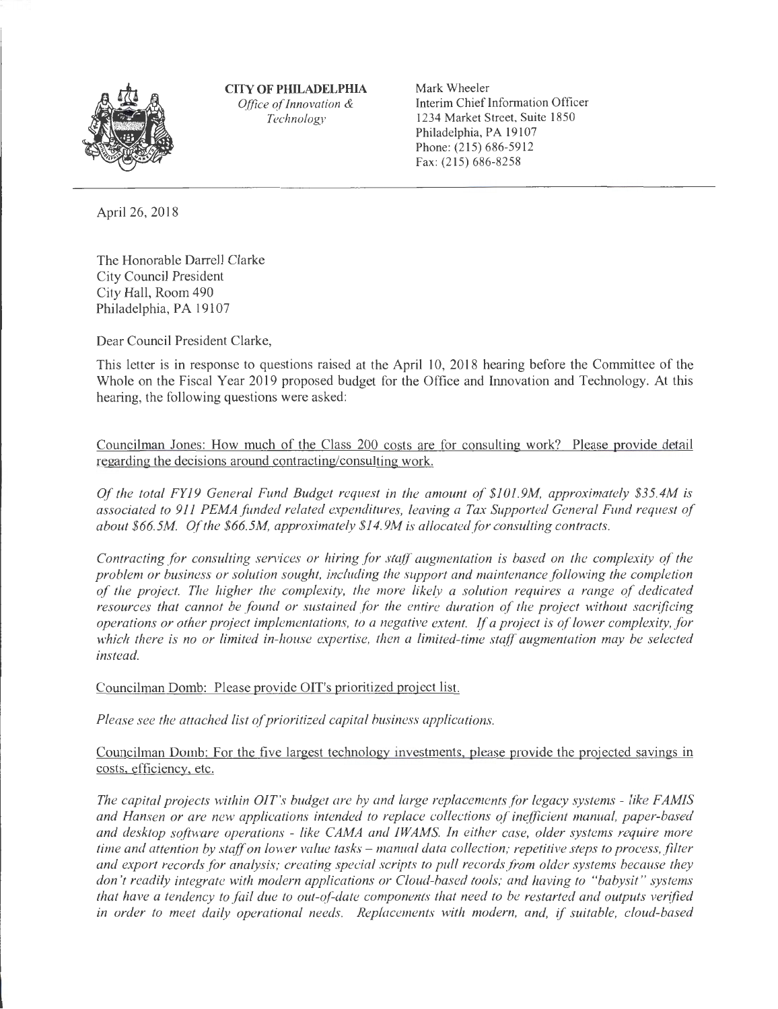

**CITY OF PHILADELPIIlA**  *Office of Innovation & Technology* 

Mark Wheeler Interim Chief Information Officer 1234 Market Street, Suite 1850 Philadelphia, PA 19107 Phone: (215) 686-5912 Fax: (215) 686-8258

April 26, 2018

The Honorable Darrell Clarke City Council President City Hall, Room 490 Philadelphia, PA 19107

Dear Council President Clarke,

This letter is in response to questions raised at the April 10, 2018 hearing before the Committee of the Whole on the Fiscal Year 2019 proposed budget for the Office and Innovation and Technology. At this hearing, the following questions were asked:

Councilman Jones: How much of the Class 200 costs are for consulting work? Please provide detail regarding the decisions around contracting/consulting work.

*Of the total FY19 General Fund Budget request in the amount of \$101.9M, approximately \$35.4M is associated to 911 PEMA funded related expenditures, leaving a Tax Supported General Fund request of about \$66.5M Of the \$66.5M, approximately \$14.9M* is *allocated for consulting contracts.* 

*Contracting for consulting services or hiring for staff augmentation is based on the complexity of the problem or business or solution sought, including the support and maintenance following the completion of the project. The higher the complexity, the more likely a solution requires a range of dedicated resources that cannot be found or sustained for the entire duration of the project without sacrificing operations or other project implementations, to a negative extent. If a project is of lower complexity, for which there is no or limited in-house expertise, then a limited-time staff augmentation may be selected instead.* 

Councilman Domb: Please provide OIT's prioritized project list.

*Please see the attached list of prioritized capital business applications.* 

Councilman Domb: For the five largest technology investments. please provide the projected savings in costs. efficiency. etc.

*The capital projects within OIT's budget are by and large replacements for legacy systems - like FAMIS and Hansen or are new applications intended to replace collections of inefficient manual, paper-based and desktop software operations* - *like CAMA and IW AMS. In either case, older systems require more time and attention by staff on lower value tasks – manual data collection; repetitive steps to process, filter and export records fo r analysis; creating special scripts to pull records from older systems because they don 't readily integrate with modern applications or Cloud-based tools; and having to "babysit " systems that have a tendency to fail due to out-of-date components that need to be restarted and outputs verified in order to meet daily operational needs. Replacements with modern, and,* if *suitable, cloud-based*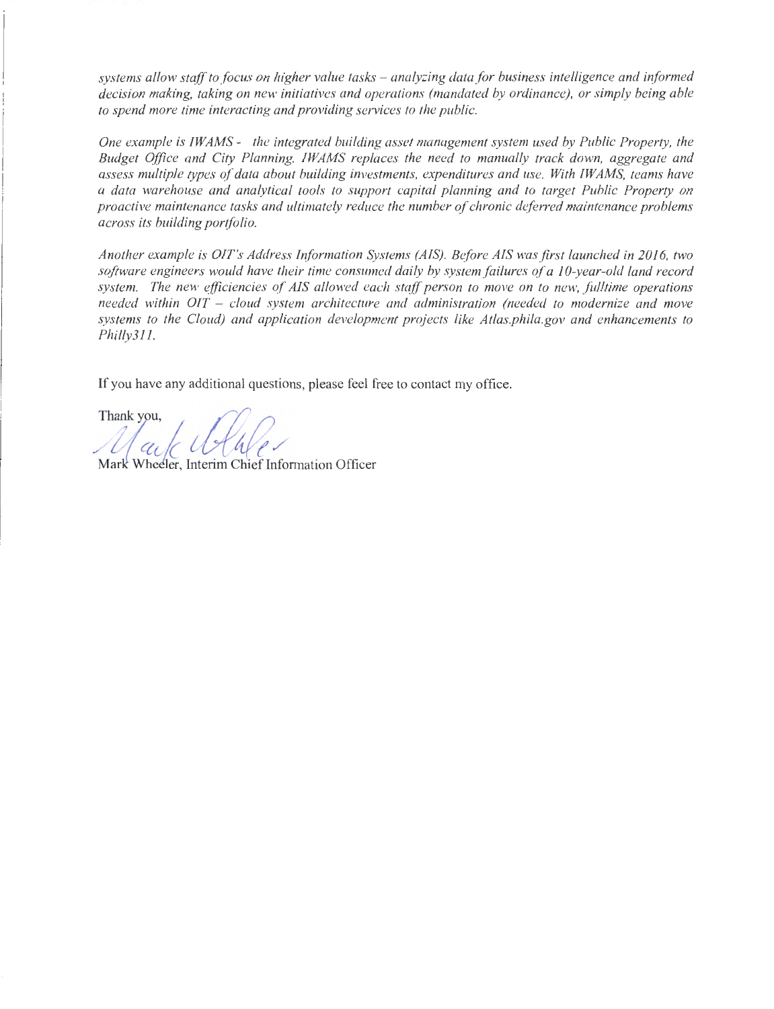*systems allow staff to focus on higher value tasks* - *analyzing data for business intelligence and informed decision making, taking on new initiatives and operations (mandated by ordinance), or simply being able to spend more time interacting and providing services to the public.* 

*One example is IW AMS* - *the integrated building asset management system used by Public Property, the Budget Office and City Planning. IW AMS replaces the need to manually track down, aggregate and assess multiple types of data about building investments, expenditures and use. With IW AMS, teams have a data warehouse and analytical tools to support capital planning and to target Public Property on proactive maintenance tasks and ultimately reduce the number of chronic deferred maintenance problems across its building portfolio.* 

*Another example is OIT's Address Iriformation Systems (AIS). Before AIS was first launched in 2016, two software engineers would have their time consumed daily by system failures of a 10-year-old land record system. The new efficiencies of AIS allowed each staff person to move on to new, fu/ltime operations needed within OIT* - *cloud system architecture and administration (needed to modernize and move systems to the Cloud) and application development proj ects like Atlas.phi/a.gov and enhancements to Philly31 l.* 

If you have any additional questions, please feel free to contact my office.

Thank you,<br>*May Ullule* 

Mark Wheeler, Interim Chief Information Officer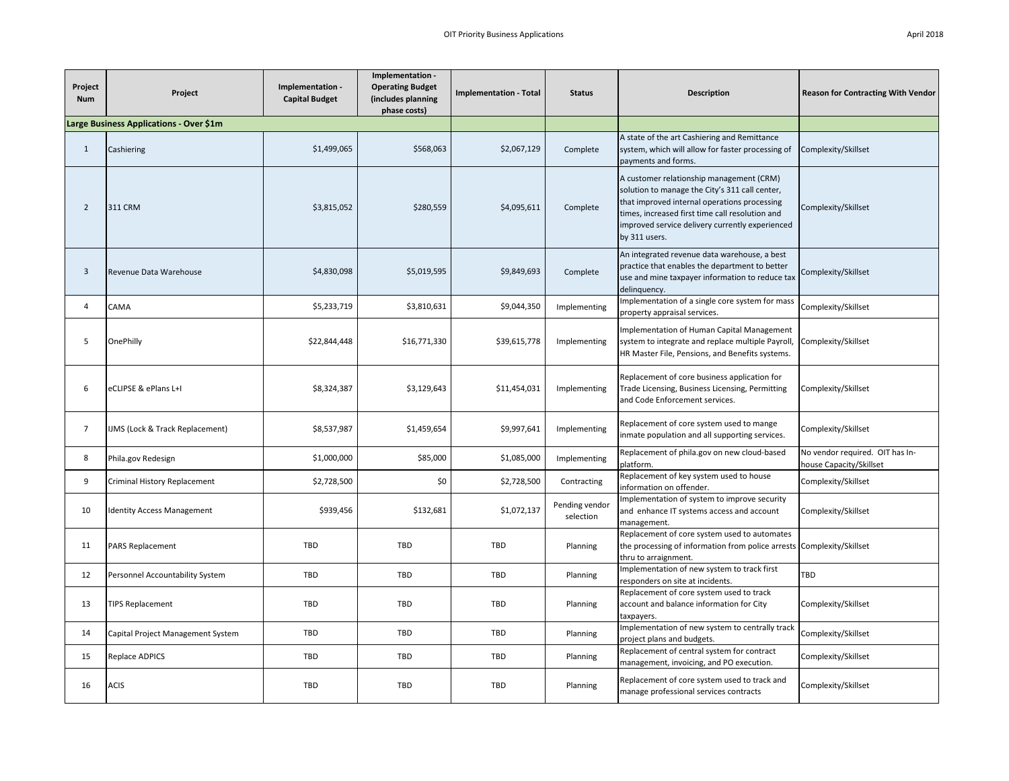| Project<br><b>Num</b> | Project                                 | Implementation -<br><b>Capital Budget</b> | Implementation -<br><b>Operating Budget</b><br>(includes planning<br>phase costs) | <b>Implementation - Total</b> | <b>Status</b>               | <b>Description</b>                                                                                                                                                                                                                                                | <b>Reason for Contracting With Vendor</b>                  |
|-----------------------|-----------------------------------------|-------------------------------------------|-----------------------------------------------------------------------------------|-------------------------------|-----------------------------|-------------------------------------------------------------------------------------------------------------------------------------------------------------------------------------------------------------------------------------------------------------------|------------------------------------------------------------|
|                       | Large Business Applications - Over \$1m |                                           |                                                                                   |                               |                             |                                                                                                                                                                                                                                                                   |                                                            |
| $\mathbf{1}$          | Cashiering                              | \$1,499,065                               | \$568,063                                                                         | \$2,067,129                   | Complete                    | A state of the art Cashiering and Remittance<br>system, which will allow for faster processing of<br>payments and forms.                                                                                                                                          | Complexity/Skillset                                        |
| $\overline{2}$        | 311 CRM                                 | \$3,815,052                               | \$280,559                                                                         | \$4,095,611                   | Complete                    | A customer relationship management (CRM)<br>solution to manage the City's 311 call center,<br>that improved internal operations processing<br>times, increased first time call resolution and<br>improved service delivery currently experienced<br>by 311 users. | Complexity/Skillset                                        |
| 3                     | Revenue Data Warehouse                  | \$4,830,098                               | \$5,019,595                                                                       | \$9,849,693                   | Complete                    | An integrated revenue data warehouse, a best<br>practice that enables the department to better<br>use and mine taxpayer information to reduce tax<br>delinguency.                                                                                                 | Complexity/Skillset                                        |
| 4                     | CAMA                                    | \$5,233,719                               | \$3,810,631                                                                       | \$9,044,350                   | Implementing                | Implementation of a single core system for mass<br>property appraisal services.                                                                                                                                                                                   | Complexity/Skillset                                        |
| 5                     | OnePhilly                               | \$22,844,448                              | \$16,771,330                                                                      | \$39,615,778                  | Implementing                | Implementation of Human Capital Management<br>system to integrate and replace multiple Payroll,<br>HR Master File, Pensions, and Benefits systems.                                                                                                                | Complexity/Skillset                                        |
| 6                     | eCLIPSE & ePlans L+I                    | \$8,324,387                               | \$3,129,643                                                                       | \$11,454,031                  | Implementing                | Replacement of core business application for<br>Trade Licensing, Business Licensing, Permitting<br>and Code Enforcement services.                                                                                                                                 | Complexity/Skillset                                        |
| $\overline{7}$        | IJMS (Lock & Track Replacement)         | \$8,537,987                               | \$1,459,654                                                                       | \$9,997,641                   | Implementing                | Replacement of core system used to mange<br>inmate population and all supporting services.                                                                                                                                                                        | Complexity/Skillset                                        |
| 8                     | Phila.gov Redesign                      | \$1,000,000                               | \$85,000                                                                          | \$1,085,000                   | Implementing                | Replacement of phila.gov on new cloud-based<br>platform.                                                                                                                                                                                                          | No vendor required. OIT has In-<br>house Capacity/Skillset |
| 9                     | Criminal History Replacement            | \$2,728,500                               | \$0                                                                               | \$2,728,500                   | Contracting                 | Replacement of key system used to house<br>information on offender.                                                                                                                                                                                               | Complexity/Skillset                                        |
| 10                    | <b>Identity Access Management</b>       | \$939,456                                 | \$132,681                                                                         | \$1,072,137                   | Pending vendor<br>selection | mplementation of system to improve security<br>and enhance IT systems access and account<br>management.                                                                                                                                                           | Complexity/Skillset                                        |
| 11                    | <b>PARS Replacement</b>                 | TBD                                       | TBD                                                                               | TBD                           | Planning                    | Replacement of core system used to automates<br>the processing of information from police arrests<br>thru to arraignment.                                                                                                                                         | Complexity/Skillset                                        |
| 12                    | Personnel Accountability System         | TBD                                       | TBD                                                                               | TBD                           | Planning                    | Implementation of new system to track first<br>responders on site at incidents.                                                                                                                                                                                   | TBD                                                        |
| 13                    | <b>TIPS Replacement</b>                 | TBD                                       | TBD                                                                               | TBD                           | Planning                    | Replacement of core system used to track<br>account and balance information for City<br>taxpayers.                                                                                                                                                                | Complexity/Skillset                                        |
| 14                    | Capital Project Management System       | TBD                                       | TBD                                                                               | TBD                           | Planning                    | Implementation of new system to centrally track<br>project plans and budgets.                                                                                                                                                                                     | Complexity/Skillset                                        |
| 15                    | Replace ADPICS                          | TBD                                       | TBD                                                                               | TBD                           | Planning                    | Replacement of central system for contract<br>management, invoicing, and PO execution.                                                                                                                                                                            | Complexity/Skillset                                        |
| 16                    | <b>ACIS</b>                             | TBD                                       | TBD                                                                               | <b>TBD</b>                    | Planning                    | Replacement of core system used to track and<br>manage professional services contracts                                                                                                                                                                            | Complexity/Skillset                                        |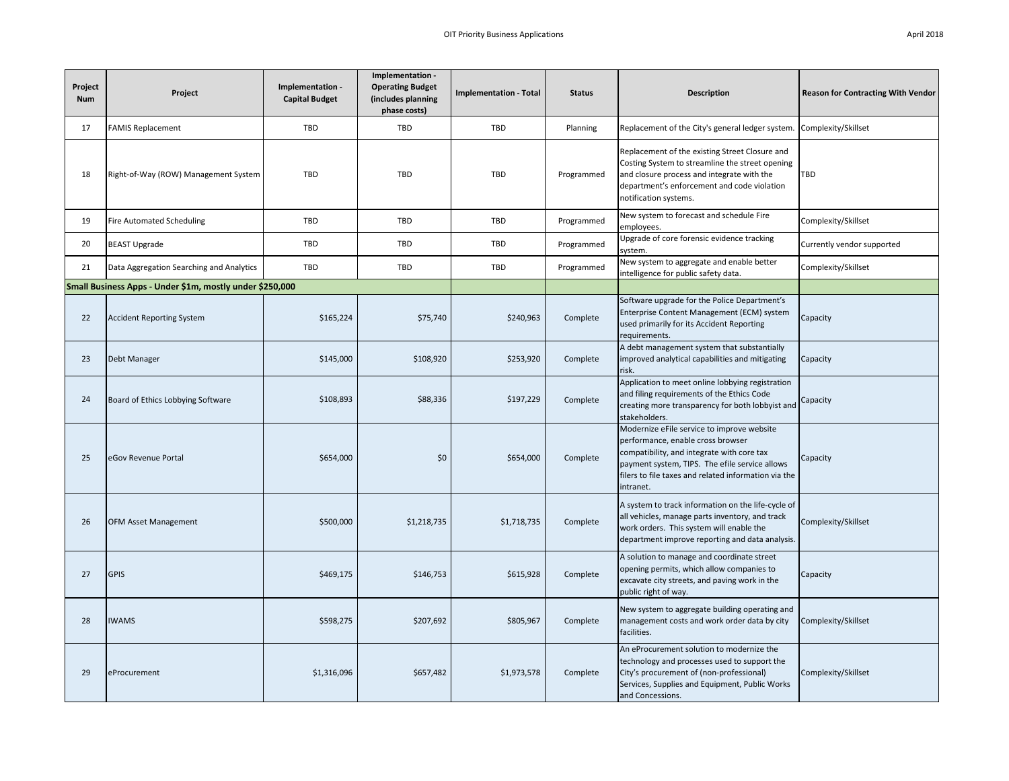| April 2018 |  |
|------------|--|
|            |  |

| Project<br><b>Num</b> | Project                                                  | Implementation -<br><b>Capital Budget</b> | Implementation -<br><b>Operating Budget</b><br>(includes planning<br>phase costs) | <b>Implementation - Total</b> | <b>Status</b> | <b>Description</b>                                                                                                                                                                                                                                   | <b>Reason for Contracting With Vendor</b> |
|-----------------------|----------------------------------------------------------|-------------------------------------------|-----------------------------------------------------------------------------------|-------------------------------|---------------|------------------------------------------------------------------------------------------------------------------------------------------------------------------------------------------------------------------------------------------------------|-------------------------------------------|
| 17                    | <b>FAMIS Replacement</b>                                 | TBD                                       | TBD                                                                               | TBD                           | Planning      | Replacement of the City's general ledger system.                                                                                                                                                                                                     | Complexity/Skillset                       |
| 18                    | Right-of-Way (ROW) Management System                     | TBD                                       | TBD                                                                               | TBD                           | Programmed    | Replacement of the existing Street Closure and<br>Costing System to streamline the street opening<br>and closure process and integrate with the<br>department's enforcement and code violation<br>notification systems.                              | TBD                                       |
| 19                    | <b>Fire Automated Scheduling</b>                         | TBD                                       | TBD                                                                               | TBD                           | Programmed    | New system to forecast and schedule Fire<br>employees.                                                                                                                                                                                               | Complexity/Skillset                       |
| 20                    | <b>BEAST Upgrade</b>                                     | TBD                                       | TBD                                                                               | TBD                           | Programmed    | Upgrade of core forensic evidence tracking<br>system.                                                                                                                                                                                                | Currently vendor supported                |
| 21                    | Data Aggregation Searching and Analytics                 | TBD                                       | TBD                                                                               | TBD                           | Programmed    | New system to aggregate and enable better<br>intelligence for public safety data.                                                                                                                                                                    | Complexity/Skillset                       |
|                       | Small Business Apps - Under \$1m, mostly under \$250,000 |                                           |                                                                                   |                               |               |                                                                                                                                                                                                                                                      |                                           |
| 22                    | <b>Accident Reporting System</b>                         | \$165,224                                 | \$75,740                                                                          | \$240,963                     | Complete      | Software upgrade for the Police Department's<br>Enterprise Content Management (ECM) system<br>used primarily for its Accident Reporting<br>requirements.                                                                                             | Capacity                                  |
| 23                    | Debt Manager                                             | \$145,000                                 | \$108,920                                                                         | \$253,920                     | Complete      | A debt management system that substantially<br>improved analytical capabilities and mitigating<br>risk.                                                                                                                                              | Capacity                                  |
| 24                    | Board of Ethics Lobbying Software                        | \$108,893                                 | \$88,336                                                                          | \$197,229                     | Complete      | Application to meet online lobbying registration<br>and filing requirements of the Ethics Code<br>creating more transparency for both lobbyist and<br>stakeholders.                                                                                  | Capacity                                  |
| 25                    | eGov Revenue Portal                                      | \$654,000                                 | \$0                                                                               | \$654,000                     | Complete      | Modernize eFile service to improve website<br>performance, enable cross browser<br>compatibility, and integrate with core tax<br>payment system, TIPS. The efile service allows<br>filers to file taxes and related information via the<br>intranet. | Capacity                                  |
| 26                    | <b>OFM Asset Management</b>                              | \$500,000                                 | \$1,218,735                                                                       | \$1,718,735                   | Complete      | A system to track information on the life-cycle of<br>all vehicles, manage parts inventory, and track<br>work orders. This system will enable the<br>department improve reporting and data analysis.                                                 | Complexity/Skillset                       |
| 27                    | <b>GPIS</b>                                              | \$469,175                                 | \$146,753                                                                         | \$615,928                     | Complete      | A solution to manage and coordinate street<br>opening permits, which allow companies to<br>excavate city streets, and paving work in the<br>public right of way.                                                                                     | Capacity                                  |
| 28                    | <b>IWAMS</b>                                             | \$598,275                                 | \$207,692                                                                         | \$805,967                     | Complete      | New system to aggregate building operating and<br>management costs and work order data by city<br>facilities.                                                                                                                                        | Complexity/Skillset                       |
| 29                    | eProcurement                                             | \$1,316,096                               | \$657,482                                                                         | \$1,973,578                   | Complete      | An eProcurement solution to modernize the<br>technology and processes used to support the<br>City's procurement of (non-professional)<br>Services, Supplies and Equipment, Public Works<br>and Concessions.                                          | Complexity/Skillset                       |